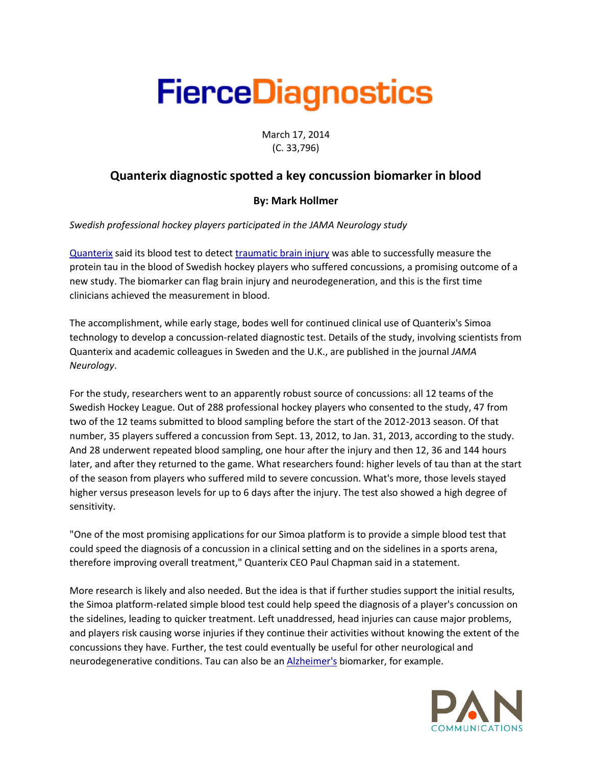## **FierceDiagnostics**

March 17, 2014 (C. 33,796)

## **Quanterix diagnostic spotted a key concussion biomarker in blood**

## **By: Mark Hollmer**

*Swedish professional hockey players participated in the JAMA Neurology study*

[Quanterix](http://www.fiercediagnostics.com/tags/quanterix) said its blood test to detect [traumatic brain injury](http://www.fiercediagnostics.com/tags/traumatic-brain-injury) was able to successfully measure the protein tau in the blood of Swedish hockey players who suffered concussions, a promising outcome of a new study. The biomarker can flag brain injury and neurodegeneration, and this is the first time clinicians achieved the measurement in blood.

The accomplishment, while early stage, bodes well for continued clinical use of Quanterix's Simoa technology to develop a concussion-related diagnostic test. Details of the study, involving scientists from Quanterix and academic colleagues in Sweden and the U.K., are published in the journal *JAMA Neurology*.

For the study, researchers went to an apparently robust source of concussions: all 12 teams of the Swedish Hockey League. Out of 288 professional hockey players who consented to the study, 47 from two of the 12 teams submitted to blood sampling before the start of the 2012-2013 season. Of that number, 35 players suffered a concussion from Sept. 13, 2012, to Jan. 31, 2013, according to the study. And 28 underwent repeated blood sampling, one hour after the injury and then 12, 36 and 144 hours later, and after they returned to the game. What researchers found: higher levels of tau than at the start of the season from players who suffered mild to severe concussion. What's more, those levels stayed higher versus preseason levels for up to 6 days after the injury. The test also showed a high degree of sensitivity.

"One of the most promising applications for our Simoa platform is to provide a simple blood test that could speed the diagnosis of a concussion in a clinical setting and on the sidelines in a sports arena, therefore improving overall treatment," Quanterix CEO Paul Chapman said in a statement.

More research is likely and also needed. But the idea is that if further studies support the initial results, the Simoa platform-related simple blood test could help speed the diagnosis of a player's concussion on the sidelines, leading to quicker treatment. Left unaddressed, head injuries can cause major problems, and players risk causing worse injuries if they continue their activities without knowing the extent of the concussions they have. Further, the test could eventually be useful for other neurological and neurodegenerative conditions. Tau can also be an [Alzheimer's](http://www.fiercediagnostics.com/tags/alzheimers) biomarker, for example.